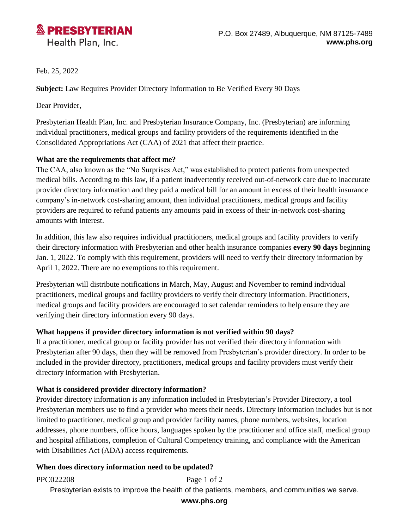

Feb. 25, 2022

**Subject:** Law Requires Provider Directory Information to Be Verified Every 90 Days

Dear Provider,

Presbyterian Health Plan, Inc. and Presbyterian Insurance Company, Inc. (Presbyterian) are informing individual practitioners, medical groups and facility providers of the requirements identified in the Consolidated Appropriations Act (CAA) of 2021 that affect their practice.

### **What are the requirements that affect me?**

The CAA, also known as the "No Surprises Act," was established to protect patients from unexpected medical bills. According to this law, if a patient inadvertently received out-of-network care due to inaccurate provider directory information and they paid a medical bill for an amount in excess of their health insurance company's in-network cost-sharing amount, then individual practitioners, medical groups and facility providers are required to refund patients any amounts paid in excess of their in-network cost-sharing amounts with interest.

In addition, this law also requires individual practitioners, medical groups and facility providers to verify their directory information with Presbyterian and other health insurance companies **every 90 days** beginning Jan. 1, 2022. To comply with this requirement, providers will need to verify their directory information by April 1, 2022. There are no exemptions to this requirement.

Presbyterian will distribute notifications in March, May, August and November to remind individual practitioners, medical groups and facility providers to verify their directory information. Practitioners, medical groups and facility providers are encouraged to set calendar reminders to help ensure they are verifying their directory information every 90 days.

### **What happens if provider directory information is not verified within 90 days?**

If a practitioner, medical group or facility provider has not verified their directory information with Presbyterian after 90 days, then they will be removed from Presbyterian's provider directory. In order to be included in the provider directory, practitioners, medical groups and facility providers must verify their directory information with Presbyterian.

# **What is considered provider directory information?**

Provider directory information is any information included in Presbyterian's Provider Directory, a tool Presbyterian members use to find a provider who meets their needs. Directory information includes but is not limited to practitioner, medical group and provider facility names, phone numbers, websites, location addresses, phone numbers, office hours, languages spoken by the practitioner and office staff, medical group and hospital affiliations, completion of Cultural Competency training, and compliance with the American with Disabilities Act (ADA) access requirements.

### **When does directory information need to be updated?**

PPC022208 Page 1 of 2

Presbyterian exists to improve the health of the patients, members, and communities we serve.

#### **www.phs.org**